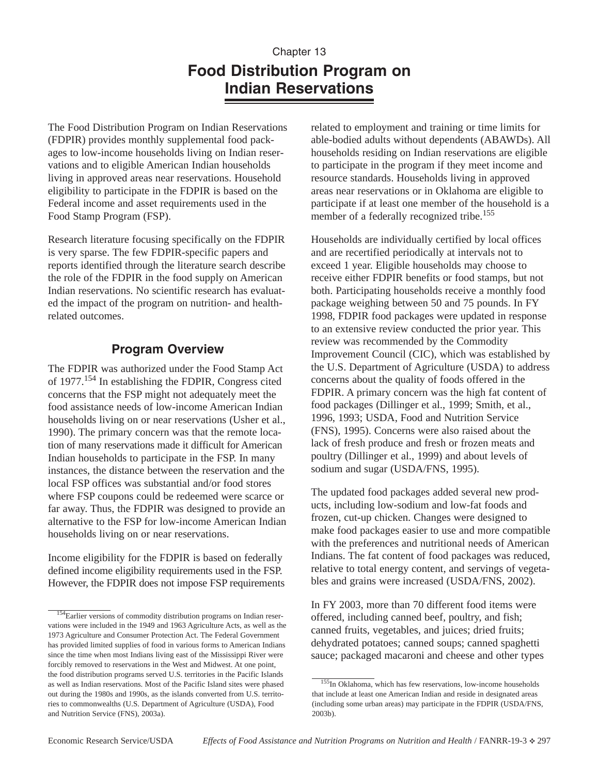# Chapter 13 **Food Distribution Program on Indian Reservations**

The Food Distribution Program on Indian Reservations (FDPIR) provides monthly supplemental food packages to low-income households living on Indian reservations and to eligible American Indian households living in approved areas near reservations. Household eligibility to participate in the FDPIR is based on the Federal income and asset requirements used in the Food Stamp Program (FSP).

Research literature focusing specifically on the FDPIR is very sparse. The few FDPIR-specific papers and reports identified through the literature search describe the role of the FDPIR in the food supply on American Indian reservations. No scientific research has evaluated the impact of the program on nutrition- and healthrelated outcomes.

### **Program Overview**

The FDPIR was authorized under the Food Stamp Act of 1977.<sup>154</sup> In establishing the FDPIR, Congress cited concerns that the FSP might not adequately meet the food assistance needs of low-income American Indian households living on or near reservations (Usher et al., 1990). The primary concern was that the remote location of many reservations made it difficult for American Indian households to participate in the FSP. In many instances, the distance between the reservation and the local FSP offices was substantial and/or food stores where FSP coupons could be redeemed were scarce or far away. Thus, the FDPIR was designed to provide an alternative to the FSP for low-income American Indian households living on or near reservations.

Income eligibility for the FDPIR is based on federally defined income eligibility requirements used in the FSP. However, the FDPIR does not impose FSP requirements related to employment and training or time limits for able-bodied adults without dependents (ABAWDs). All households residing on Indian reservations are eligible to participate in the program if they meet income and resource standards. Households living in approved areas near reservations or in Oklahoma are eligible to participate if at least one member of the household is a member of a federally recognized tribe.<sup>155</sup>

Households are individually certified by local offices and are recertified periodically at intervals not to exceed 1 year. Eligible households may choose to receive either FDPIR benefits or food stamps, but not both. Participating households receive a monthly food package weighing between 50 and 75 pounds. In FY 1998, FDPIR food packages were updated in response to an extensive review conducted the prior year. This review was recommended by the Commodity Improvement Council (CIC), which was established by the U.S. Department of Agriculture (USDA) to address concerns about the quality of foods offered in the FDPIR. A primary concern was the high fat content of food packages (Dillinger et al., 1999; Smith, et al., 1996, 1993; USDA, Food and Nutrition Service (FNS), 1995). Concerns were also raised about the lack of fresh produce and fresh or frozen meats and poultry (Dillinger et al., 1999) and about levels of sodium and sugar (USDA/FNS, 1995).

The updated food packages added several new products, including low-sodium and low-fat foods and frozen, cut-up chicken. Changes were designed to make food packages easier to use and more compatible with the preferences and nutritional needs of American Indians. The fat content of food packages was reduced, relative to total energy content, and servings of vegetables and grains were increased (USDA/FNS, 2002).

In FY 2003, more than 70 different food items were offered, including canned beef, poultry, and fish; canned fruits, vegetables, and juices; dried fruits; dehydrated potatoes; canned soups; canned spaghetti sauce; packaged macaroni and cheese and other types

<sup>154</sup>Earlier versions of commodity distribution programs on Indian reservations were included in the 1949 and 1963 Agriculture Acts, as well as the 1973 Agriculture and Consumer Protection Act. The Federal Government has provided limited supplies of food in various forms to American Indians since the time when most Indians living east of the Mississippi River were forcibly removed to reservations in the West and Midwest. At one point, the food distribution programs served U.S. territories in the Pacific Islands as well as Indian reservations. Most of the Pacific Island sites were phased out during the 1980s and 1990s, as the islands converted from U.S. territories to commonwealths (U.S. Department of Agriculture (USDA), Food and Nutrition Service (FNS), 2003a).

<sup>&</sup>lt;sup>155</sup>In Oklahoma, which has few reservations, low-income households that include at least one American Indian and reside in designated areas (including some urban areas) may participate in the FDPIR (USDA/FNS, 2003b).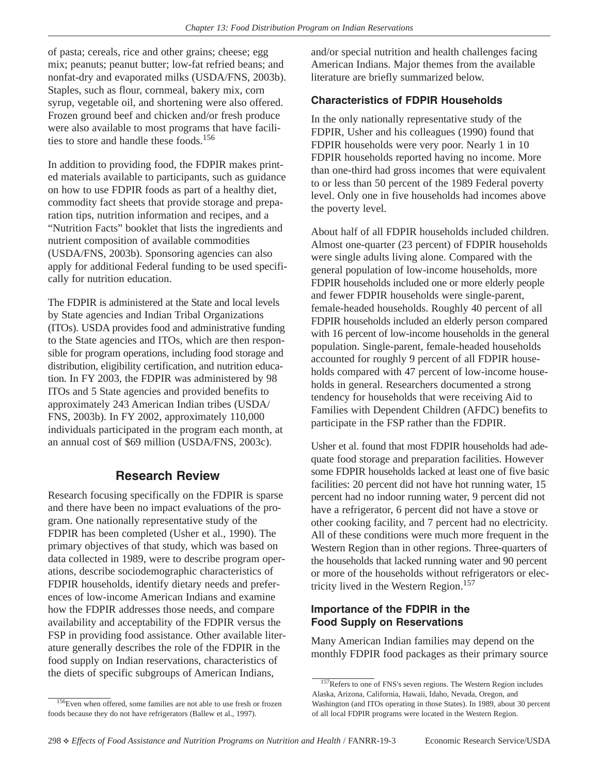of pasta; cereals, rice and other grains; cheese; egg mix; peanuts; peanut butter; low-fat refried beans; and nonfat-dry and evaporated milks (USDA/FNS, 2003b). Staples, such as flour, cornmeal, bakery mix, corn syrup, vegetable oil, and shortening were also offered. Frozen ground beef and chicken and/or fresh produce were also available to most programs that have facilities to store and handle these foods.<sup>156</sup>

In addition to providing food, the FDPIR makes printed materials available to participants, such as guidance on how to use FDPIR foods as part of a healthy diet, commodity fact sheets that provide storage and preparation tips, nutrition information and recipes, and a "Nutrition Facts" booklet that lists the ingredients and nutrient composition of available commodities (USDA/FNS, 2003b). Sponsoring agencies can also apply for additional Federal funding to be used specifically for nutrition education.

The FDPIR is administered at the State and local levels by State agencies and Indian Tribal Organizations (ITOs). USDA provides food and administrative funding to the State agencies and ITOs, which are then responsible for program operations, including food storage and distribution, eligibility certification, and nutrition education. In FY 2003, the FDPIR was administered by 98 ITOs and 5 State agencies and provided benefits to approximately 243 American Indian tribes (USDA/ FNS, 2003b). In FY 2002, approximately 110,000 individuals participated in the program each month, at an annual cost of \$69 million (USDA/FNS, 2003c).

### **Research Review**

Research focusing specifically on the FDPIR is sparse and there have been no impact evaluations of the program. One nationally representative study of the FDPIR has been completed (Usher et al., 1990). The primary objectives of that study, which was based on data collected in 1989, were to describe program operations, describe sociodemographic characteristics of FDPIR households, identify dietary needs and preferences of low-income American Indians and examine how the FDPIR addresses those needs, and compare availability and acceptability of the FDPIR versus the FSP in providing food assistance. Other available literature generally describes the role of the FDPIR in the food supply on Indian reservations, characteristics of the diets of specific subgroups of American Indians,

and/or special nutrition and health challenges facing American Indians. Major themes from the available literature are briefly summarized below.

#### **Characteristics of FDPIR Households**

In the only nationally representative study of the FDPIR, Usher and his colleagues (1990) found that FDPIR households were very poor. Nearly 1 in 10 FDPIR households reported having no income. More than one-third had gross incomes that were equivalent to or less than 50 percent of the 1989 Federal poverty level. Only one in five households had incomes above the poverty level.

About half of all FDPIR households included children. Almost one-quarter (23 percent) of FDPIR households were single adults living alone. Compared with the general population of low-income households, more FDPIR households included one or more elderly people and fewer FDPIR households were single-parent, female-headed households. Roughly 40 percent of all FDPIR households included an elderly person compared with 16 percent of low-income households in the general population. Single-parent, female-headed households accounted for roughly 9 percent of all FDPIR households compared with 47 percent of low-income households in general. Researchers documented a strong tendency for households that were receiving Aid to Families with Dependent Children (AFDC) benefits to participate in the FSP rather than the FDPIR.

Usher et al. found that most FDPIR households had adequate food storage and preparation facilities. However some FDPIR households lacked at least one of five basic facilities: 20 percent did not have hot running water, 15 percent had no indoor running water, 9 percent did not have a refrigerator, 6 percent did not have a stove or other cooking facility, and 7 percent had no electricity. All of these conditions were much more frequent in the Western Region than in other regions. Three-quarters of the households that lacked running water and 90 percent or more of the households without refrigerators or electricity lived in the Western Region.<sup>157</sup>

#### **Importance of the FDPIR in the Food Supply on Reservations**

Many American Indian families may depend on the monthly FDPIR food packages as their primary source

<sup>&</sup>lt;sup>157</sup>Refers to one of FNS's seven regions. The Western Region includes Alaska, Arizona, California, Hawaii, Idaho, Nevada, Oregon, and Washington (and ITOs operating in those States). In 1989, about 30 percent of all local FDPIR programs were located in the Western Region.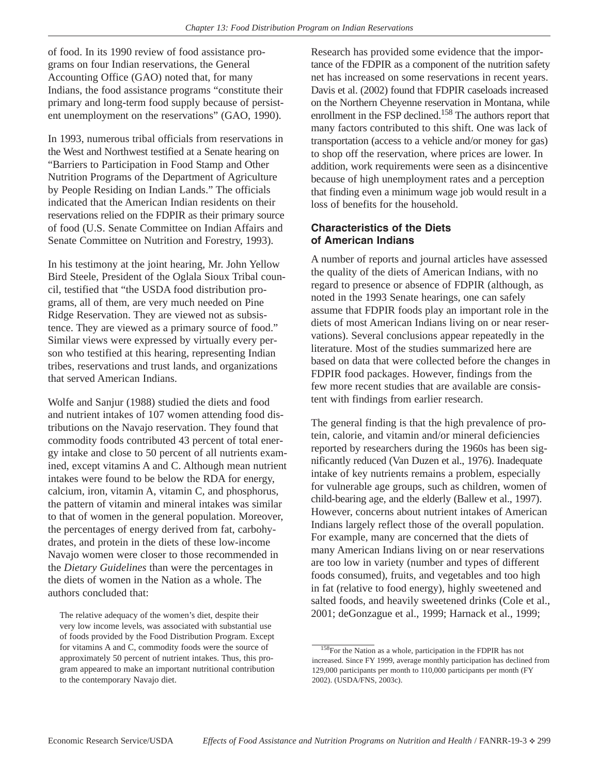of food. In its 1990 review of food assistance programs on four Indian reservations, the General Accounting Office (GAO) noted that, for many Indians, the food assistance programs "constitute their primary and long-term food supply because of persistent unemployment on the reservations" (GAO, 1990).

In 1993, numerous tribal officials from reservations in the West and Northwest testified at a Senate hearing on "Barriers to Participation in Food Stamp and Other Nutrition Programs of the Department of Agriculture by People Residing on Indian Lands." The officials indicated that the American Indian residents on their reservations relied on the FDPIR as their primary source of food (U.S. Senate Committee on Indian Affairs and Senate Committee on Nutrition and Forestry, 1993).

In his testimony at the joint hearing, Mr. John Yellow Bird Steele, President of the Oglala Sioux Tribal council, testified that "the USDA food distribution programs, all of them, are very much needed on Pine Ridge Reservation. They are viewed not as subsistence. They are viewed as a primary source of food." Similar views were expressed by virtually every person who testified at this hearing, representing Indian tribes, reservations and trust lands, and organizations that served American Indians.

Wolfe and Sanjur (1988) studied the diets and food and nutrient intakes of 107 women attending food distributions on the Navajo reservation. They found that commodity foods contributed 43 percent of total energy intake and close to 50 percent of all nutrients examined, except vitamins A and C. Although mean nutrient intakes were found to be below the RDA for energy, calcium, iron, vitamin A, vitamin C, and phosphorus, the pattern of vitamin and mineral intakes was similar to that of women in the general population. Moreover, the percentages of energy derived from fat, carbohydrates, and protein in the diets of these low-income Navajo women were closer to those recommended in the *Dietary Guidelines* than were the percentages in the diets of women in the Nation as a whole. The authors concluded that:

Research has provided some evidence that the importance of the FDPIR as a component of the nutrition safety net has increased on some reservations in recent years. Davis et al. (2002) found that FDPIR caseloads increased on the Northern Cheyenne reservation in Montana, while enrollment in the FSP declined.<sup>158</sup> The authors report that many factors contributed to this shift. One was lack of transportation (access to a vehicle and/or money for gas) to shop off the reservation, where prices are lower. In addition, work requirements were seen as a disincentive because of high unemployment rates and a perception that finding even a minimum wage job would result in a loss of benefits for the household.

#### **Characteristics of the Diets of American Indians**

A number of reports and journal articles have assessed the quality of the diets of American Indians, with no regard to presence or absence of FDPIR (although, as noted in the 1993 Senate hearings, one can safely assume that FDPIR foods play an important role in the diets of most American Indians living on or near reservations). Several conclusions appear repeatedly in the literature. Most of the studies summarized here are based on data that were collected before the changes in FDPIR food packages. However, findings from the few more recent studies that are available are consistent with findings from earlier research.

The general finding is that the high prevalence of protein, calorie, and vitamin and/or mineral deficiencies reported by researchers during the 1960s has been significantly reduced (Van Duzen et al., 1976). Inadequate intake of key nutrients remains a problem, especially for vulnerable age groups, such as children, women of child-bearing age, and the elderly (Ballew et al., 1997). However, concerns about nutrient intakes of American Indians largely reflect those of the overall population. For example, many are concerned that the diets of many American Indians living on or near reservations are too low in variety (number and types of different foods consumed), fruits, and vegetables and too high in fat (relative to food energy), highly sweetened and salted foods, and heavily sweetened drinks (Cole et al., 2001; deGonzague et al., 1999; Harnack et al., 1999;

The relative adequacy of the women's diet, despite their very low income levels, was associated with substantial use of foods provided by the Food Distribution Program. Except for vitamins A and C, commodity foods were the source of approximately 50 percent of nutrient intakes. Thus, this program appeared to make an important nutritional contribution to the contemporary Navajo diet.

<sup>&</sup>lt;sup>158</sup>For the Nation as a whole, participation in the FDPIR has not increased. Since FY 1999, average monthly participation has declined from 129,000 participants per month to 110,000 participants per month (FY 2002). (USDA/FNS, 2003c).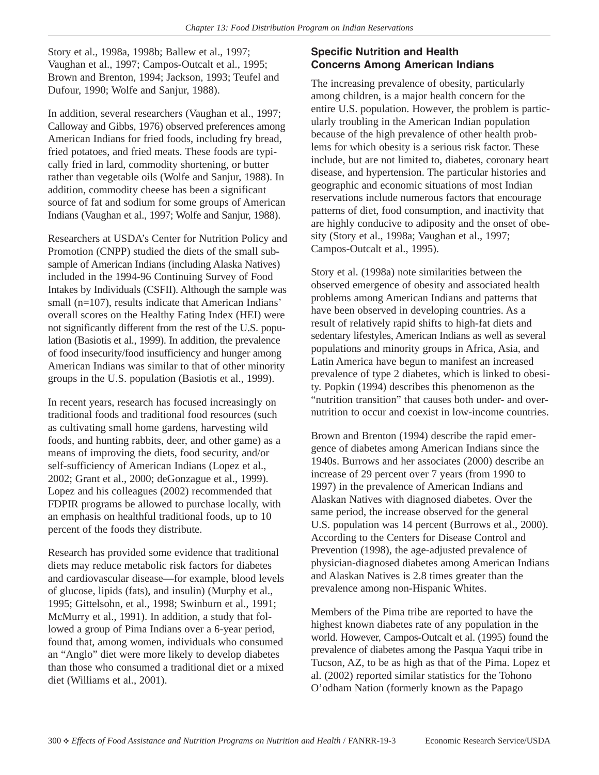Story et al., 1998a, 1998b; Ballew et al., 1997; Vaughan et al., 1997; Campos-Outcalt et al., 1995; Brown and Brenton, 1994; Jackson, 1993; Teufel and Dufour, 1990; Wolfe and Sanjur, 1988).

In addition, several researchers (Vaughan et al., 1997; Calloway and Gibbs, 1976) observed preferences among American Indians for fried foods, including fry bread, fried potatoes, and fried meats. These foods are typically fried in lard, commodity shortening, or butter rather than vegetable oils (Wolfe and Sanjur, 1988). In addition, commodity cheese has been a significant source of fat and sodium for some groups of American Indians (Vaughan et al., 1997; Wolfe and Sanjur, 1988).

Researchers at USDA's Center for Nutrition Policy and Promotion (CNPP) studied the diets of the small subsample of American Indians (including Alaska Natives) included in the 1994-96 Continuing Survey of Food Intakes by Individuals (CSFII). Although the sample was small (n=107), results indicate that American Indians' overall scores on the Healthy Eating Index (HEI) were not significantly different from the rest of the U.S. population (Basiotis et al., 1999). In addition, the prevalence of food insecurity/food insufficiency and hunger among American Indians was similar to that of other minority groups in the U.S. population (Basiotis et al., 1999).

In recent years, research has focused increasingly on traditional foods and traditional food resources (such as cultivating small home gardens, harvesting wild foods, and hunting rabbits, deer, and other game) as a means of improving the diets, food security, and/or self-sufficiency of American Indians (Lopez et al., 2002; Grant et al., 2000; deGonzague et al., 1999). Lopez and his colleagues (2002) recommended that FDPIR programs be allowed to purchase locally, with an emphasis on healthful traditional foods, up to 10 percent of the foods they distribute.

Research has provided some evidence that traditional diets may reduce metabolic risk factors for diabetes and cardiovascular disease—for example, blood levels of glucose, lipids (fats), and insulin) (Murphy et al., 1995; Gittelsohn, et al., 1998; Swinburn et al., 1991; McMurry et al., 1991). In addition, a study that followed a group of Pima Indians over a 6-year period, found that, among women, individuals who consumed an "Anglo" diet were more likely to develop diabetes than those who consumed a traditional diet or a mixed diet (Williams et al., 2001).

### **Specific Nutrition and Health Concerns Among American Indians**

The increasing prevalence of obesity, particularly among children, is a major health concern for the entire U.S. population. However, the problem is particularly troubling in the American Indian population because of the high prevalence of other health problems for which obesity is a serious risk factor. These include, but are not limited to, diabetes, coronary heart disease, and hypertension. The particular histories and geographic and economic situations of most Indian reservations include numerous factors that encourage patterns of diet, food consumption, and inactivity that are highly conducive to adiposity and the onset of obesity (Story et al., 1998a; Vaughan et al., 1997; Campos-Outcalt et al., 1995).

Story et al. (1998a) note similarities between the observed emergence of obesity and associated health problems among American Indians and patterns that have been observed in developing countries. As a result of relatively rapid shifts to high-fat diets and sedentary lifestyles, American Indians as well as several populations and minority groups in Africa, Asia, and Latin America have begun to manifest an increased prevalence of type 2 diabetes, which is linked to obesity. Popkin (1994) describes this phenomenon as the "nutrition transition" that causes both under- and overnutrition to occur and coexist in low-income countries.

Brown and Brenton (1994) describe the rapid emergence of diabetes among American Indians since the 1940s. Burrows and her associates (2000) describe an increase of 29 percent over 7 years (from 1990 to 1997) in the prevalence of American Indians and Alaskan Natives with diagnosed diabetes. Over the same period, the increase observed for the general U.S. population was 14 percent (Burrows et al., 2000). According to the Centers for Disease Control and Prevention (1998), the age-adjusted prevalence of physician-diagnosed diabetes among American Indians and Alaskan Natives is 2.8 times greater than the prevalence among non-Hispanic Whites.

Members of the Pima tribe are reported to have the highest known diabetes rate of any population in the world. However, Campos-Outcalt et al. (1995) found the prevalence of diabetes among the Pasqua Yaqui tribe in Tucson, AZ, to be as high as that of the Pima. Lopez et al. (2002) reported similar statistics for the Tohono O'odham Nation (formerly known as the Papago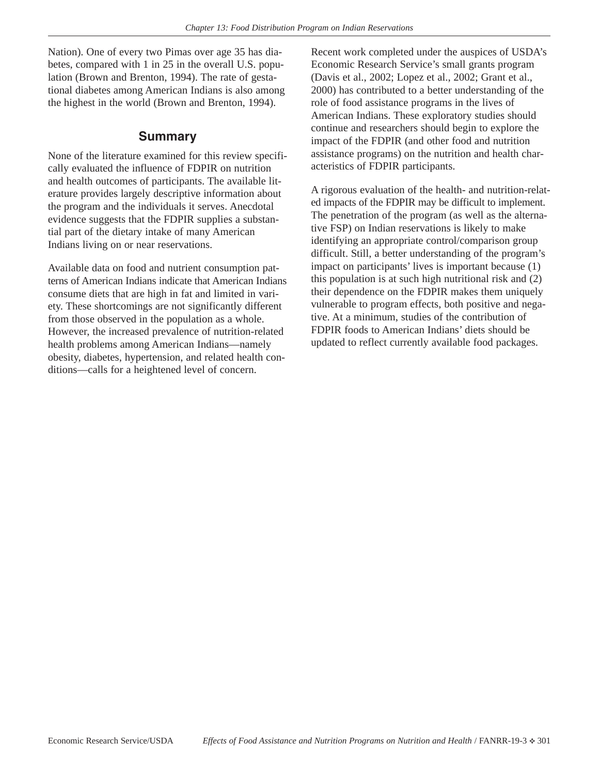Nation). One of every two Pimas over age 35 has diabetes, compared with 1 in 25 in the overall U.S. population (Brown and Brenton, 1994). The rate of gestational diabetes among American Indians is also among the highest in the world (Brown and Brenton, 1994).

### **Summary**

None of the literature examined for this review specifically evaluated the influence of FDPIR on nutrition and health outcomes of participants. The available literature provides largely descriptive information about the program and the individuals it serves. Anecdotal evidence suggests that the FDPIR supplies a substantial part of the dietary intake of many American Indians living on or near reservations.

Available data on food and nutrient consumption patterns of American Indians indicate that American Indians consume diets that are high in fat and limited in variety. These shortcomings are not significantly different from those observed in the population as a whole. However, the increased prevalence of nutrition-related health problems among American Indians—namely obesity, diabetes, hypertension, and related health conditions—calls for a heightened level of concern.

Recent work completed under the auspices of USDA's Economic Research Service's small grants program (Davis et al., 2002; Lopez et al., 2002; Grant et al., 2000) has contributed to a better understanding of the role of food assistance programs in the lives of American Indians. These exploratory studies should continue and researchers should begin to explore the impact of the FDPIR (and other food and nutrition assistance programs) on the nutrition and health characteristics of FDPIR participants.

A rigorous evaluation of the health- and nutrition-related impacts of the FDPIR may be difficult to implement. The penetration of the program (as well as the alternative FSP) on Indian reservations is likely to make identifying an appropriate control/comparison group difficult. Still, a better understanding of the program's impact on participants' lives is important because (1) this population is at such high nutritional risk and (2) their dependence on the FDPIR makes them uniquely vulnerable to program effects, both positive and negative. At a minimum, studies of the contribution of FDPIR foods to American Indians' diets should be updated to reflect currently available food packages.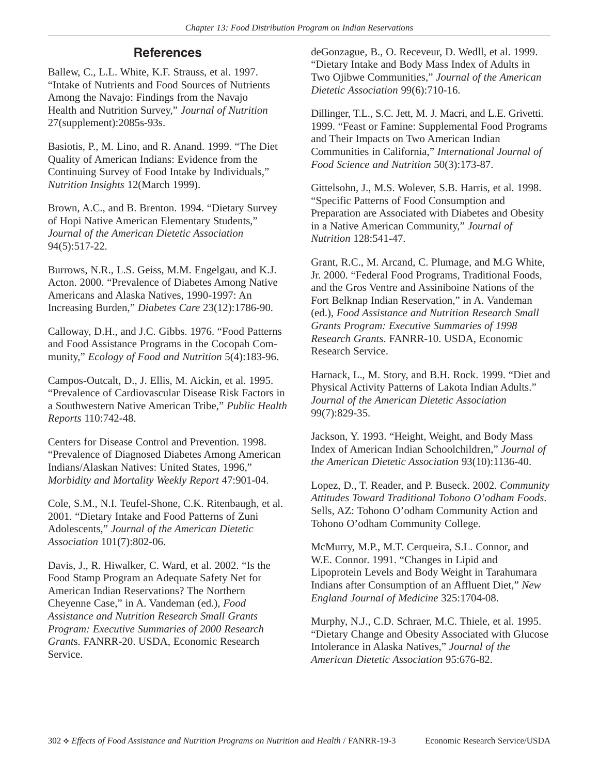## **References**

Ballew, C., L.L. White, K.F. Strauss, et al. 1997. "Intake of Nutrients and Food Sources of Nutrients Among the Navajo: Findings from the Navajo Health and Nutrition Survey," *Journal of Nutrition* 27(supplement):2085s-93s.

Basiotis, P., M. Lino, and R. Anand. 1999. "The Diet Quality of American Indians: Evidence from the Continuing Survey of Food Intake by Individuals," *Nutrition Insights* 12(March 1999).

Brown, A.C., and B. Brenton. 1994. "Dietary Survey of Hopi Native American Elementary Students," *Journal of the American Dietetic Association* 94(5):517-22.

Burrows, N.R., L.S. Geiss, M.M. Engelgau, and K.J. Acton. 2000. "Prevalence of Diabetes Among Native Americans and Alaska Natives, 1990-1997: An Increasing Burden," *Diabetes Care* 23(12):1786-90.

Calloway, D.H., and J.C. Gibbs. 1976. "Food Patterns and Food Assistance Programs in the Cocopah Community," *Ecology of Food and Nutrition* 5(4):183-96.

Campos-Outcalt, D., J. Ellis, M. Aickin, et al. 1995. "Prevalence of Cardiovascular Disease Risk Factors in a Southwestern Native American Tribe," *Public Health Reports* 110:742-48.

Centers for Disease Control and Prevention. 1998. "Prevalence of Diagnosed Diabetes Among American Indians/Alaskan Natives: United States, 1996," *Morbidity and Mortality Weekly Report* 47:901-04.

Cole, S.M., N.I. Teufel-Shone, C.K. Ritenbaugh, et al. 2001. "Dietary Intake and Food Patterns of Zuni Adolescents," *Journal of the American Dietetic Association* 101(7):802-06.

Davis, J., R. Hiwalker, C. Ward, et al. 2002. "Is the Food Stamp Program an Adequate Safety Net for American Indian Reservations? The Northern Cheyenne Case," in A. Vandeman (ed.), *Food Assistance and Nutrition Research Small Grants Program: Executive Summaries of 2000 Research Grant*s. FANRR-20. USDA, Economic Research Service.

deGonzague, B., O. Receveur, D. Wedll, et al. 1999. "Dietary Intake and Body Mass Index of Adults in Two Ojibwe Communities," *Journal of the American Dietetic Association* 99(6):710-16.

Dillinger, T.L., S.C. Jett, M. J. Macri, and L.E. Grivetti. 1999. "Feast or Famine: Supplemental Food Programs and Their Impacts on Two American Indian Communities in California," *International Journal of Food Science and Nutrition* 50(3):173-87.

Gittelsohn, J., M.S. Wolever, S.B. Harris, et al. 1998. "Specific Patterns of Food Consumption and Preparation are Associated with Diabetes and Obesity in a Native American Community," *Journal of Nutrition* 128:541-47.

Grant, R.C., M. Arcand, C. Plumage, and M.G White, Jr. 2000. "Federal Food Programs, Traditional Foods, and the Gros Ventre and Assiniboine Nations of the Fort Belknap Indian Reservation," in A. Vandeman (ed.), *Food Assistance and Nutrition Research Small Grants Program: Executive Summaries of 1998 Research Grants*. FANRR-10. USDA, Economic Research Service.

Harnack, L., M. Story, and B.H. Rock. 1999. "Diet and Physical Activity Patterns of Lakota Indian Adults." *Journal of the American Dietetic Association* 99(7):829-35.

Jackson, Y. 1993. "Height, Weight, and Body Mass Index of American Indian Schoolchildren," *Journal of the American Dietetic Association* 93(10):1136-40.

Lopez, D., T. Reader, and P. Buseck. 2002. *Community Attitudes Toward Traditional Tohono O'odham Foods*. Sells, AZ: Tohono O'odham Community Action and Tohono O'odham Community College.

McMurry, M.P., M.T. Cerqueira, S.L. Connor, and W.E. Connor. 1991. "Changes in Lipid and Lipoprotein Levels and Body Weight in Tarahumara Indians after Consumption of an Affluent Diet," *New England Journal of Medicine* 325:1704-08.

Murphy, N.J., C.D. Schraer, M.C. Thiele, et al. 1995. "Dietary Change and Obesity Associated with Glucose Intolerance in Alaska Natives," *Journal of the American Dietetic Association* 95:676-82.